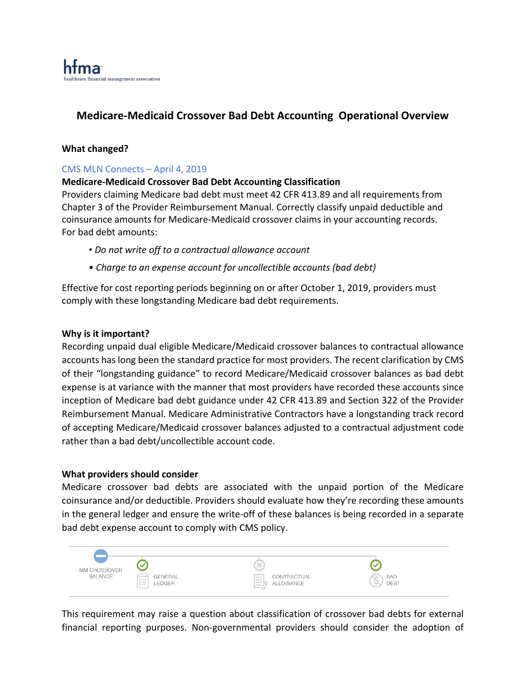# **Medicare-Medicaid Crossover Bad Debt Accounting Operational Overview**

### **What changed?**

## CMS MLN Connects – April 4, 2019

### **Medicare-Medicaid Crossover Bad Debt Accounting Classification**

Providers claiming Medicare bad debt must meet 42 CFR 413.89 and all requirements from Chapter 3 of the Provider Reimbursement Manual. Correctly classify unpaid deductible and coinsurance amounts for Medicare-Medicaid crossover claims in your accounting records. For bad debt amounts:

- *Do not write off to a contractual allowance account*
- *Charge to an expense account for uncollectible accounts (bad debt)*

Effective for cost reporting periods beginning on or after October 1, 2019, providers must comply with these longstanding Medicare bad debt requirements.

#### **Why is it important?**

Recording unpaid dual eligible Medicare/Medicaid crossover balances to contractual allowance accounts has long been the standard practice for most providers. The recent clarification by CMS of their "longstanding guidance" to record Medicare/Medicaid crossover balances as bad debt expense is at variance with the manner that most providers have recorded these accounts since inception of Medicare bad debt guidance under 42 CFR 413.89 and Section 322 of the Provider Reimbursement Manual. Medicare Administrative Contractors have a longstanding track record of accepting Medicare/Medicaid crossover balances adjusted to a contractual adjustment code rather than a bad debt/uncollectible account code.

### **What providers should consider**

Medicare crossover bad debts are associated with the unpaid portion of the Medicare coinsurance and/or deductible. Providers should evaluate how they're recording these amounts in the general ledger and ensure the write-off of these balances is being recorded in a separate bad debt expense account to comply with CMS policy.



This requirement may raise a question about classification of crossover bad debts for external financial reporting purposes. Non-governmental providers should consider the adoption of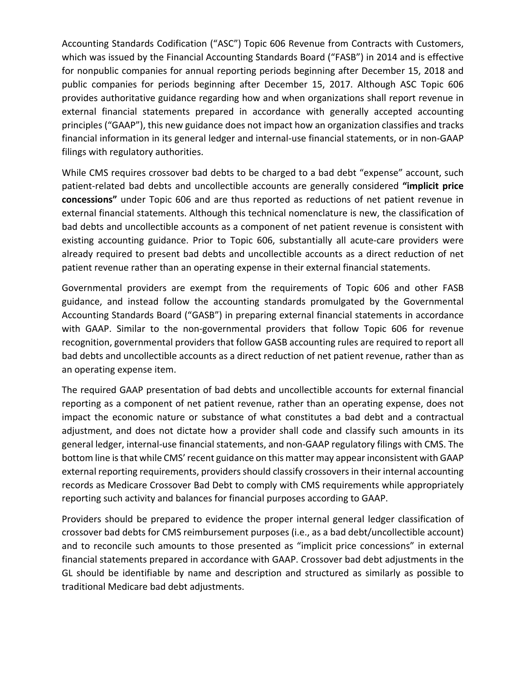Accounting Standards Codification ("ASC") Topic 606 Revenue from Contracts with Customers, which was issued by the Financial Accounting Standards Board ("FASB") in 2014 and is effective for nonpublic companies for annual reporting periods beginning after December 15, 2018 and public companies for periods beginning after December 15, 2017. Although ASC Topic 606 provides authoritative guidance regarding how and when organizations shall report revenue in external financial statements prepared in accordance with generally accepted accounting principles ("GAAP"), this new guidance does not impact how an organization classifies and tracks financial information in its general ledger and internal-use financial statements, or in non-GAAP filings with regulatory authorities.

While CMS requires crossover bad debts to be charged to a bad debt "expense" account, such patient-related bad debts and uncollectible accounts are generally considered **"implicit price concessions"** under Topic 606 and are thus reported as reductions of net patient revenue in external financial statements. Although this technical nomenclature is new, the classification of bad debts and uncollectible accounts as a component of net patient revenue is consistent with existing accounting guidance. Prior to Topic 606, substantially all acute-care providers were already required to present bad debts and uncollectible accounts as a direct reduction of net patient revenue rather than an operating expense in their external financial statements.

Governmental providers are exempt from the requirements of Topic 606 and other FASB guidance, and instead follow the accounting standards promulgated by the Governmental Accounting Standards Board ("GASB") in preparing external financial statements in accordance with GAAP. Similar to the non-governmental providers that follow Topic 606 for revenue recognition, governmental providers that follow GASB accounting rules are required to report all bad debts and uncollectible accounts as a direct reduction of net patient revenue, rather than as an operating expense item.

The required GAAP presentation of bad debts and uncollectible accounts for external financial reporting as a component of net patient revenue, rather than an operating expense, does not impact the economic nature or substance of what constitutes a bad debt and a contractual adjustment, and does not dictate how a provider shall code and classify such amounts in its general ledger, internal-use financial statements, and non-GAAP regulatory filings with CMS. The bottom line is that while CMS' recent guidance on this matter may appear inconsistent with GAAP external reporting requirements, providers should classify crossovers in their internal accounting records as Medicare Crossover Bad Debt to comply with CMS requirements while appropriately reporting such activity and balances for financial purposes according to GAAP.

Providers should be prepared to evidence the proper internal general ledger classification of crossover bad debts for CMS reimbursement purposes (i.e., as a bad debt/uncollectible account) and to reconcile such amounts to those presented as "implicit price concessions" in external financial statements prepared in accordance with GAAP. Crossover bad debt adjustments in the GL should be identifiable by name and description and structured as similarly as possible to traditional Medicare bad debt adjustments.